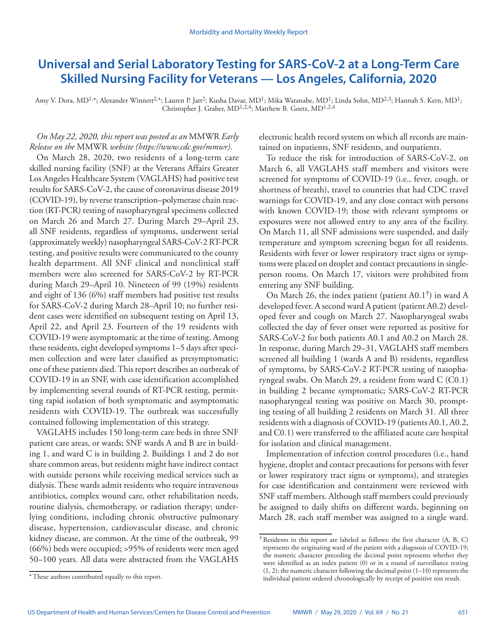# **Universal and Serial Laboratory Testing for SARS-CoV-2 at a Long-Term Care Skilled Nursing Facility for Veterans — Los Angeles, California, 2020**

Amy V. Dora, MD<sup>1,\*</sup>; Alexander Winnett<sup>2,\*</sup>; Lauren P. Jatt<sup>2</sup>; Kusha Davar, MD<sup>1</sup>; Mika Watanabe, MD<sup>1</sup>; Linda Sohn, MD<sup>2,3</sup>; Hannah S. Kern, MD<sup>1</sup>; Christopher J. Graber, MD<sup>1,2,4</sup>; Matthew B. Goetz, MD<sup>1,2,4</sup>

## *On May 22, 2020, this report was posted as an* MMWR *Early Release on the* MMWR *website [\(https://www.cdc.gov/mmwr\)](https://www.cdc.gov/mmwr).*

On March 28, 2020, two residents of a long-term care skilled nursing facility (SNF) at the Veterans Affairs Greater Los Angeles Healthcare System (VAGLAHS) had positive test results for SARS-CoV-2, the cause of coronavirus disease 2019 (COVID-19), by reverse transcription–polymerase chain reaction (RT-PCR) testing of nasopharyngeal specimens collected on March 26 and March 27. During March 29–April 23, all SNF residents, regardless of symptoms, underwent serial (approximately weekly) nasopharyngeal SARS-CoV-2 RT-PCR testing, and positive results were communicated to the county health department. All SNF clinical and nonclinical staff members were also screened for SARS-CoV-2 by RT-PCR during March 29–April 10. Nineteen of 99 (19%) residents and eight of 136 (6%) staff members had positive test results for SARS-CoV-2 during March 28–April 10; no further resident cases were identified on subsequent testing on April 13, April 22, and April 23. Fourteen of the 19 residents with COVID-19 were asymptomatic at the time of testing. Among these residents, eight developed symptoms 1–5 days after specimen collection and were later classified as presymptomatic; one of these patients died. This report describes an outbreak of COVID-19 in an SNF, with case identification accomplished by implementing several rounds of RT-PCR testing, permitting rapid isolation of both symptomatic and asymptomatic residents with COVID-19. The outbreak was successfully contained following implementation of this strategy.

VAGLAHS includes 150 long-term care beds in three SNF patient care areas, or wards; SNF wards A and B are in building 1, and ward C is in building 2. Buildings 1 and 2 do not share common areas, but residents might have indirect contact with outside persons while receiving medical services such as dialysis. These wards admit residents who require intravenous antibiotics, complex wound care, other rehabilitation needs, routine dialysis, chemotherapy, or radiation therapy; underlying conditions, including chronic obstructive pulmonary disease, hypertension, cardiovascular disease, and chronic kidney disease, are common. At the time of the outbreak, 99 (66%) beds were occupied; >95% of residents were men aged 50–100 years. All data were abstracted from the VAGLAHS

electronic health record system on which all records are maintained on inpatients, SNF residents, and outpatients.

To reduce the risk for introduction of SARS-CoV-2, on March 6, all VAGLAHS staff members and visitors were screened for symptoms of COVID-19 (i.e., fever, cough, or shortness of breath), travel to countries that had CDC travel warnings for COVID-19, and any close contact with persons with known COVID-19; those with relevant symptoms or exposures were not allowed entry to any area of the facility. On March 11, all SNF admissions were suspended, and daily temperature and symptom screening began for all residents. Residents with fever or lower respiratory tract signs or symptoms were placed on droplet and contact precautions in singleperson rooms. On March 17, visitors were prohibited from entering any SNF building.

On March 26, the index patient (patient A0.1<sup>†</sup>) in ward A developed fever. A second ward A patient (patient A0.2) developed fever and cough on March 27. Nasopharyngeal swabs collected the day of fever onset were reported as positive for SARS-CoV-2 for both patients A0.1 and A0.2 on March 28. In response, during March 29–31, VAGLAHS staff members screened all building 1 (wards A and B) residents, regardless of symptoms, by SARS-CoV-2 RT-PCR testing of nasopharyngeal swabs. On March 29, a resident from ward C (C0.1) in building 2 became symptomatic; SARS-CoV-2 RT-PCR nasopharyngeal testing was positive on March 30, prompting testing of all building 2 residents on March 31. All three residents with a diagnosis of COVID-19 (patients A0.1, A0.2, and C0.1) were transferred to the affiliated acute care hospital for isolation and clinical management.

Implementation of infection control procedures (i.e., hand hygiene, droplet and contact precautions for persons with fever or lower respiratory tract signs or symptoms), and strategies for case identification and containment were reviewed with SNF staff members. Although staff members could previously be assigned to daily shifts on different wards, beginning on March 28, each staff member was assigned to a single ward.

<sup>\*</sup>These authors contributed equally to this report.

<sup>†</sup>Residents in this report are labeled as follows: the first character (A, B, C) represents the originating ward of the patient with a diagnosis of COVID-19; the numeric character preceding the decimal point represents whether they were identified as an index patient (0) or in a round of surveillance testing (1, 2); the numeric character following the decimal point (1–10) represents the individual patient ordered chronologically by receipt of positive test result.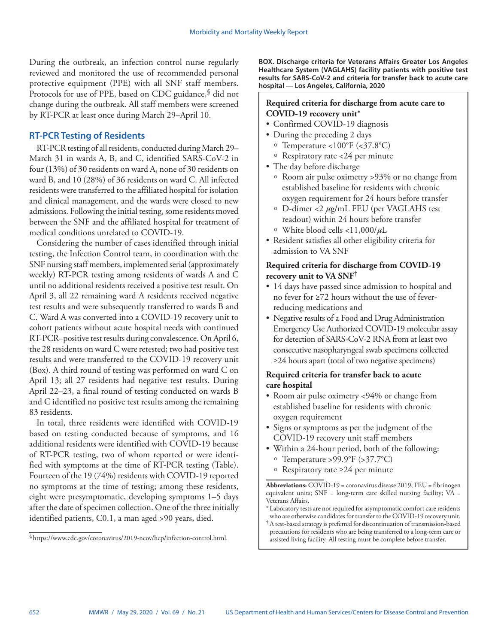During the outbreak, an infection control nurse regularly reviewed and monitored the use of recommended personal protective equipment (PPE) with all SNF staff members. Protocols for use of PPE, based on CDC guidance, <sup>§</sup> did not change during the outbreak. All staff members were screened by RT-PCR at least once during March 29–April 10.

# **RT-PCR Testing of Residents**

RT-PCR testing of all residents, conducted during March 29– March 31 in wards A, B, and C, identified SARS-CoV-2 in four (13%) of 30 residents on ward A, none of 30 residents on ward B, and 10 (28%) of 36 residents on ward C. All infected residents were transferred to the affiliated hospital for isolation and clinical management, and the wards were closed to new admissions. Following the initial testing, some residents moved between the SNF and the affiliated hospital for treatment of medical conditions unrelated to COVID-19.

Considering the number of cases identified through initial testing, the Infection Control team, in coordination with the SNF nursing staff members, implemented serial (approximately weekly) RT-PCR testing among residents of wards A and C until no additional residents received a positive test result. On April 3, all 22 remaining ward A residents received negative test results and were subsequently transferred to wards B and C. Ward A was converted into a COVID-19 recovery unit to cohort patients without acute hospital needs with continued RT-PCR–positive test results during convalescence. On April 6, the 28 residents on ward C were retested; two had positive test results and were transferred to the COVID-19 recovery unit (Box). A third round of testing was performed on ward C on April 13; all 27 residents had negative test results. During April 22–23, a final round of testing conducted on wards B and C identified no positive test results among the remaining 83 residents.

In total, three residents were identified with COVID-19 based on testing conducted because of symptoms, and 16 additional residents were identified with COVID-19 because of RT-PCR testing, two of whom reported or were identified with symptoms at the time of RT-PCR testing (Table). Fourteen of the 19 (74%) residents with COVID-19 reported no symptoms at the time of testing; among these residents, eight were presymptomatic, developing symptoms 1–5 days after the date of specimen collection. One of the three initially identified patients, C0.1, a man aged >90 years, died.

**BOX. Discharge criteria for Veterans Affairs Greater Los Angeles Healthcare System (VAGLAHS) facility patients with positive test results for SARS-CoV-2 and criteria for transfer back to acute care hospital — Los Angeles, California, 2020**

## **Required criteria for discharge from acute care to COVID-19 recovery unit**\*

- Confirmed COVID-19 diagnosis
- During the preceding 2 days
	- $\circ$  Temperature <100°F (<37.8°C)
	- $\circ$  Respiratory rate <24 per minute
- The day before discharge
	- ű Room air pulse oximetry >93% or no change from established baseline for residents with chronic oxygen requirement for 24 hours before transfer
	- <sup>o</sup> D-dimer <2 *μ*g/mL FEU (per VAGLAHS test readout) within 24 hours before transfer <sup>ű</sup> White blood cells <11,000/*μ*L
- Resident satisfies all other eligibility criteria for admission to VA SNF

# **Required criteria for discharge from COVID-19 recovery unit to VA SNF**†

- 14 days have passed since admission to hospital and no fever for ≥72 hours without the use of feverreducing medications and
- Negative results of a Food and Drug Administration Emergency Use Authorized COVID-19 molecular assay for detection of SARS-CoV-2 RNA from at least two consecutive nasopharyngeal swab specimens collected ≥24 hours apart (total of two negative specimens)

# **Required criteria for transfer back to acute care hospital**

- Room air pulse oximetry <94% or change from established baseline for residents with chronic oxygen requirement
- Signs or symptoms as per the judgment of the COVID-19 recovery unit staff members
- Within a 24-hour period, both of the following:
	- $\circ$  Temperature >99.9°F (>37.7°C)
	- ű Respiratory rate ≥24 per minute

**Abbreviations:** COVID-19 = coronavirus disease 2019; FEU = fibrinogen equivalent units;  $SNF = long-term$  care skilled nursing facility;  $VA =$ Veterans Affairs.

- \*Laboratory tests are not required for asymptomatic comfort care residents who are otherwise candidates for transfer to the COVID-19 recovery unit.
- †A test-based strategy is preferred for discontinuation of transmission-based precautions for residents who are being transferred to a long-term care or assisted living facility. All testing must be complete before transfer.

<sup>§</sup>[https://www.cdc.gov/coronavirus/2019-ncov/hcp/infection-control.html.](https://www.cdc.gov/coronavirus/2019-ncov/hcp/infection-control.html)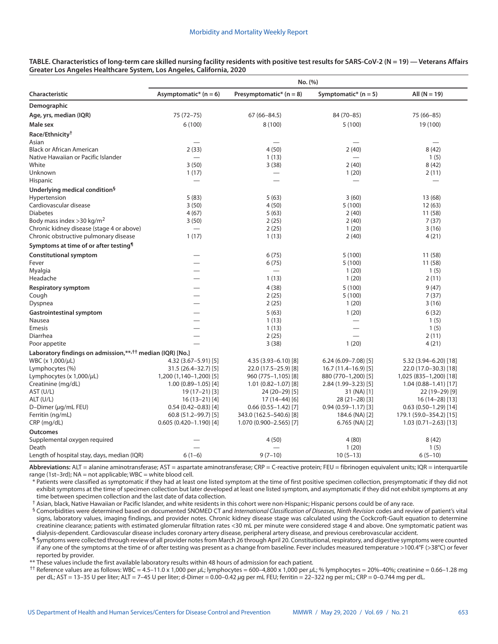| TABLE. Characteristics of long-term care skilled nursing facility residents with positive test results for SARS-CoV-2 (N = 19) — Veterans Affairs |  |
|---------------------------------------------------------------------------------------------------------------------------------------------------|--|
| Greater Los Angeles Healthcare System, Los Angeles, California, 2020                                                                              |  |

|                                                                       | No. (%)                             |                                  |                                |                                     |  |
|-----------------------------------------------------------------------|-------------------------------------|----------------------------------|--------------------------------|-------------------------------------|--|
| Characteristic                                                        | Asymptomatic* $(n = 6)$             | Presymptomatic* $(n = 8)$        | Symptomatic* $(n = 5)$         | All $(N = 19)$                      |  |
| Demographic                                                           |                                     |                                  |                                |                                     |  |
| Age, yrs, median (IQR)                                                | 75 (72 - 75)                        | $67(66 - 84.5)$                  | 84 (70-85)                     | 75 (66-85)                          |  |
| Male sex                                                              | 6(100)                              | 8 (100)                          | 5(100)                         | 19 (100)                            |  |
| Race/Ethnicity <sup>†</sup>                                           |                                     |                                  |                                |                                     |  |
| Asian                                                                 |                                     |                                  |                                |                                     |  |
| <b>Black or African American</b>                                      | 2(33)                               | 4(50)                            | 2(40)                          | 8(42)                               |  |
| Native Hawaiian or Pacific Islander                                   |                                     | 1(13)                            |                                | 1(5)                                |  |
| White<br>Unknown                                                      | 3(50)<br>1(17)                      | 3(38)                            | 2(40)                          | 8(42)<br>2(11)                      |  |
| Hispanic                                                              |                                     |                                  | 1(20)                          |                                     |  |
| Underlying medical condition <sup>§</sup>                             |                                     |                                  |                                |                                     |  |
| Hypertension                                                          | 5(83)                               | 5(63)                            | 3(60)                          | 13(68)                              |  |
| Cardiovascular disease                                                | 3(50)                               | 4(50)                            | 5(100)                         | 12(63)                              |  |
| <b>Diabetes</b>                                                       | 4(67)                               | 5(63)                            | 2(40)                          | 11 (58)                             |  |
| Body mass index $>$ 30 kg/m <sup>2</sup>                              | 3(50)                               | 2(25)                            | 2(40)                          | 7(37)                               |  |
| Chronic kidney disease (stage 4 or above)                             |                                     | 2(25)                            | 1(20)                          | 3(16)                               |  |
| Chronic obstructive pulmonary disease                                 | 1(17)                               | 1(13)                            | 2(40)                          | 4(21)                               |  |
| Symptoms at time of or after testing <sup>1</sup>                     |                                     |                                  |                                |                                     |  |
| <b>Constitutional symptom</b>                                         |                                     | 6(75)                            | 5(100)                         | 11(58)                              |  |
| Fever                                                                 |                                     | 6(75)                            | 5(100)                         | 11 (58)                             |  |
| Myalgia<br>Headache                                                   |                                     | 1(13)                            | 1(20)<br>1(20)                 | 1(5)<br>2(11)                       |  |
|                                                                       |                                     |                                  |                                |                                     |  |
| <b>Respiratory symptom</b><br>Cough                                   |                                     | 4(38)<br>2(25)                   | 5(100)<br>5 (100)              | 9(47)<br>7(37)                      |  |
| Dyspnea                                                               |                                     | 2(25)                            | 1(20)                          | 3(16)                               |  |
| <b>Gastrointestinal symptom</b>                                       |                                     | 5(63)                            | 1(20)                          | 6(32)                               |  |
| Nausea                                                                |                                     | 1(13)                            |                                | 1(5)                                |  |
| <b>Emesis</b>                                                         |                                     | 1(13)                            |                                | 1(5)                                |  |
| Diarrhea                                                              |                                     | 2(25)                            |                                | 2(11)                               |  |
| Poor appetite                                                         |                                     | 3(38)                            | 1(20)                          | 4(21)                               |  |
| Laboratory findings on admission,**, <sup>††</sup> median (IQR) [No.] |                                     |                                  |                                |                                     |  |
| WBC (x 1,000/µL)                                                      | 4.32 (3.67-5.91) [5]                | 4.35 (3.93-6.10) [8]             | $6.24(6.09 - 7.08)$ [5]        | 5.32 (3.94-6.20) [18]               |  |
| Lymphocytes (%)                                                       | 31.5 (26.4–32.7) [5]                | 22.0 (17.5-25.9) [8]             | $16.7(11.4-16.9)$ [5]          | 22.0 (17.0-30.3) [18]               |  |
| Lymphocytes (x $1,000/\mu L$ )                                        | 1,200 (1,140-1,200) [5]             | 960 (775-1,105) [8]              | 880 (770-1,200) [5]            | 1,025 (835-1,200) [18]              |  |
| Creatinine (mg/dL)                                                    | $1.00(0.89 - 1.05)$ [4]             | $1.01(0.82 - 1.07)[8]$           | $2.84(1.99 - 3.23)$ [5]        | $1.04(0.88 - 1.41)[17]$             |  |
| AST (U/L)<br>ALT (U/L)                                                | 19 (17 - 21) [3]<br>$16(13-21)$ [4] | 24 (20-29) [5]<br>$17(14-44)[6]$ | 31 (NA) [1]<br>$28(21-28)$ [3] | 22 (19-29) [9]<br>16 (14 - 28) [13] |  |
| D-Dimer $(\mu q/mL$ FEU)                                              | $0.54(0.42 - 0.83)[4]$              | $0.66$ $(0.55 - 1.42)$ [7]       | $0.94(0.59 - 1.17)[3]$         | $0.63(0.50-1.29)[14]$               |  |
| Ferritin (ng/mL)                                                      | $60.8(51.2 - 99.7)[5]$              | 343.0 (162.5-540.6) [8]          | 184.6 (NA) [2]                 | 179.1 (59.0-354.2) [15]             |  |
| CRP (mg/dL)                                                           | $0.605(0.420 - 1.190)$ [4]          | 1.070 (0.900-2.565) [7]          | 6.765 (NA) [2]                 | 1.03 (0.71-2.63) [13]               |  |
| <b>Outcomes</b>                                                       |                                     |                                  |                                |                                     |  |
| Supplemental oxygen required                                          |                                     | 4(50)                            | 4(80)                          | 8(42)                               |  |
| Death                                                                 |                                     |                                  | 1(20)                          | 1(5)                                |  |
| Length of hospital stay, days, median (IQR)                           | $6(1-6)$                            | $9(7-10)$                        | $10(5-13)$                     | $6(5-10)$                           |  |

**Abbreviations:** ALT = alanine aminotransferase; AST = aspartate aminotransferase; CRP = C-reactive protein; FEU = fibrinogen equivalent units; IQR = interquartile range (1st-3rd);  $NA = not applicable; WBC = white blood cell.$ 

\* Patients were classified as symptomatic if they had at least one listed symptom at the time of first positive specimen collection, presymptomatic if they did not exhibit symptoms at the time of specimen collection but later developed at least one listed symptom, and asymptomatic if they did not exhibit symptoms at any time between specimen collection and the last date of data collection.

† Asian, black, Native Hawaiian or Pacific Islander, and white residents in this cohort were non-Hispanic; Hispanic persons could be of any race.

§ Comorbidities were determined based on documented SNOMED CT and *International Classification of Diseases, Ninth Revision* codes and review of patient's vital signs, laboratory values, imaging findings, and provider notes. Chronic kidney disease stage was calculated using the Cockcroft-Gault equation to determine creatinine clearance; patients with estimated glomerular filtration rates <30 mL per minute were considered stage 4 and above. One symptomatic patient was dialysis-dependent. Cardiovascular disease includes coronary artery disease, peripheral artery disease, and previous cerebrovascular accident.

¶ Symptoms were collected through review of all provider notes from March 26 through April 20. Constitutional, respiratory, and digestive symptoms were counted if any one of the symptoms at the time of or after testing was present as a change from baseline. Fever includes measured temperature >100.4°F (>38°C) or fever reported by provider.

These values include the first available laboratory results within 48 hours of admission for each patient.

†† Reference values are as follows: WBC = 4.5–11.0 x 1,000 per *μ*L; lymphocytes = 600–4,800 x 1,000 per *μ*L; % lymphocytes = 20%–40%; creatinine = 0.66–1.28 mg per dL; AST = 13–35 U per liter; ALT = 7–45 U per liter; d-Dimer = 0.00–0.42 *μ*g per mL FEU; ferritin = 22–322 ng per mL; CRP = 0–0.744 mg per dL.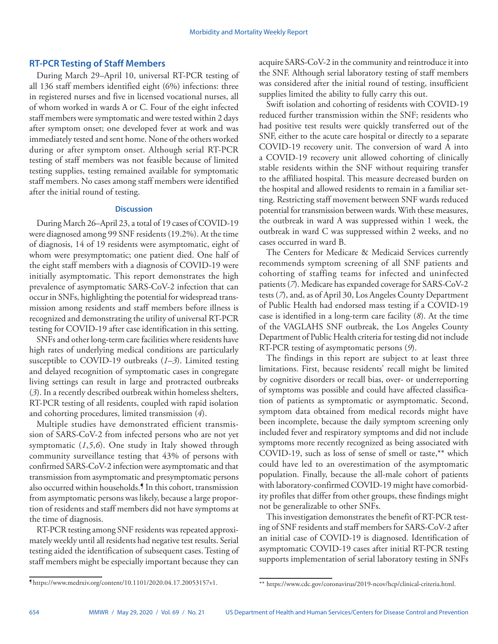## **RT-PCR Testing of Staff Members**

During March 29–April 10, universal RT-PCR testing of all 136 staff members identified eight (6%) infections: three in registered nurses and five in licensed vocational nurses, all of whom worked in wards A or C. Four of the eight infected staff members were symptomatic and were tested within 2 days after symptom onset; one developed fever at work and was immediately tested and sent home. None of the others worked during or after symptom onset. Although serial RT-PCR testing of staff members was not feasible because of limited testing supplies, testing remained available for symptomatic staff members. No cases among staff members were identified after the initial round of testing.

### **Discussion**

During March 26–April 23, a total of 19 cases of COVID-19 were diagnosed among 99 SNF residents (19.2%). At the time of diagnosis, 14 of 19 residents were asymptomatic, eight of whom were presymptomatic; one patient died. One half of the eight staff members with a diagnosis of COVID-19 were initially asymptomatic. This report demonstrates the high prevalence of asymptomatic SARS-CoV-2 infection that can occur in SNFs, highlighting the potential for widespread transmission among residents and staff members before illness is recognized and demonstrating the utility of universal RT-PCR testing for COVID-19 after case identification in this setting.

SNFs and other long-term care facilities where residents have high rates of underlying medical conditions are particularly susceptible to COVID-19 outbreaks (*1*–*3*). Limited testing and delayed recognition of symptomatic cases in congregate living settings can result in large and protracted outbreaks (*3*). In a recently described outbreak within homeless shelters, RT-PCR testing of all residents, coupled with rapid isolation and cohorting procedures, limited transmission (*4*).

Multiple studies have demonstrated efficient transmission of SARS-CoV-2 from infected persons who are not yet symptomatic (*1*,*5*,*6*). One study in Italy showed through community surveillance testing that 43% of persons with confirmed SARS-CoV-2 infection were asymptomatic and that transmission from asymptomatic and presymptomatic persons also occurred within households.¶ In this cohort, transmission from asymptomatic persons was likely, because a large proportion of residents and staff members did not have symptoms at the time of diagnosis.

RT-PCR testing among SNF residents was repeated approximately weekly until all residents had negative test results. Serial testing aided the identification of subsequent cases. Testing of staff members might be especially important because they can

acquire SARS-CoV-2 in the community and reintroduce it into the SNF. Although serial laboratory testing of staff members was considered after the initial round of testing, insufficient supplies limited the ability to fully carry this out.

Swift isolation and cohorting of residents with COVID-19 reduced further transmission within the SNF; residents who had positive test results were quickly transferred out of the SNF, either to the acute care hospital or directly to a separate COVID-19 recovery unit. The conversion of ward A into a COVID-19 recovery unit allowed cohorting of clinically stable residents within the SNF without requiring transfer to the affiliated hospital. This measure decreased burden on the hospital and allowed residents to remain in a familiar setting. Restricting staff movement between SNF wards reduced potential for transmission between wards. With these measures, the outbreak in ward A was suppressed within 1 week, the outbreak in ward C was suppressed within 2 weeks, and no cases occurred in ward B.

The Centers for Medicare & Medicaid Services currently recommends symptom screening of all SNF patients and cohorting of staffing teams for infected and uninfected patients (*7*). Medicare has expanded coverage for SARS-CoV-2 tests (*7*), and, as of April 30, Los Angeles County Department of Public Health had endorsed mass testing if a COVID-19 case is identified in a long-term care facility (*8*). At the time of the VAGLAHS SNF outbreak, the Los Angeles County Department of Public Health criteria for testing did not include RT-PCR testing of asymptomatic persons (*9*).

The findings in this report are subject to at least three limitations. First, because residents' recall might be limited by cognitive disorders or recall bias, over- or underreporting of symptoms was possible and could have affected classification of patients as symptomatic or asymptomatic. Second, symptom data obtained from medical records might have been incomplete, because the daily symptom screening only included fever and respiratory symptoms and did not include symptoms more recently recognized as being associated with COVID-19, such as loss of sense of smell or taste,\*\* which could have led to an overestimation of the asymptomatic population. Finally, because the all-male cohort of patients with laboratory-confirmed COVID-19 might have comorbidity profiles that differ from other groups, these findings might not be generalizable to other SNFs.

This investigation demonstrates the benefit of RT-PCR testing of SNF residents and staff members for SARS-CoV-2 after an initial case of COVID-19 is diagnosed. Identification of asymptomatic COVID-19 cases after initial RT-PCR testing supports implementation of serial laboratory testing in SNFs

<sup>¶</sup> <https://www.medrxiv.org/content/10.1101/2020.04.17.20053157v1>.

<sup>\*\*</sup> <https://www.cdc.gov/coronavirus/2019-ncov/hcp/clinical-criteria.html>.